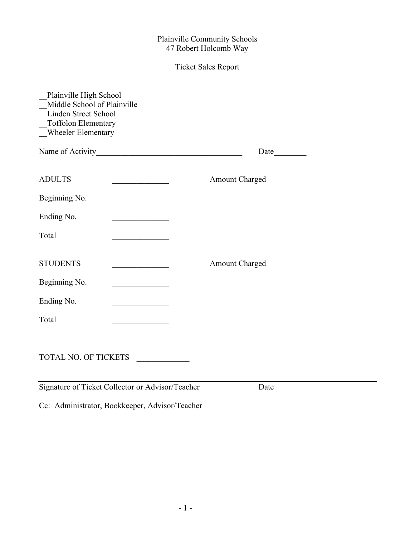#### Ticket Sales Report

| Plainville High School<br>Middle School of Plainville<br>Linden Street School<br>Toffolon Elementary<br>Wheeler Elementary |                                                                                                                       |  |
|----------------------------------------------------------------------------------------------------------------------------|-----------------------------------------------------------------------------------------------------------------------|--|
| Name of Activity                                                                                                           | <u> 1989 - Johann John Stein, marwolaeth a bhaile an t-Amhair an t-Amhair an t-Amhair an t-Amhair an t-Amhair an </u> |  |
| <b>ADULTS</b>                                                                                                              | Amount Charged                                                                                                        |  |
| Beginning No.                                                                                                              |                                                                                                                       |  |
| Ending No.                                                                                                                 | the control of the control of the control                                                                             |  |
| Total                                                                                                                      |                                                                                                                       |  |
| <b>STUDENTS</b>                                                                                                            | <b>Amount Charged</b>                                                                                                 |  |
| Beginning No.                                                                                                              |                                                                                                                       |  |
| Ending No.                                                                                                                 |                                                                                                                       |  |
| Total                                                                                                                      |                                                                                                                       |  |
| <b>TOTAL NO. OF TICKETS</b>                                                                                                |                                                                                                                       |  |

Signature of Ticket Collector or Advisor/Teacher Date

Cc: Administrator, Bookkeeper, Advisor/Teacher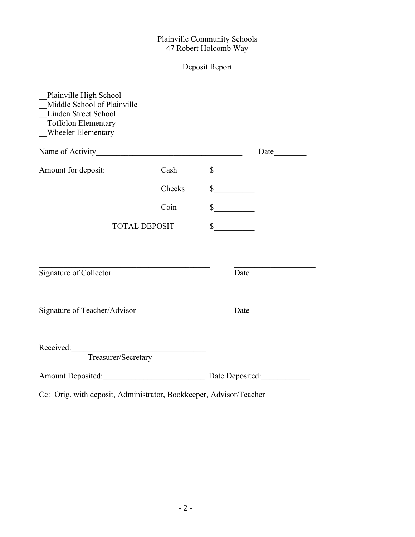# Deposit Report

| Plainville High School<br>Middle School of Plainville<br>Linden Street School<br>Toffolon Elementary<br>Wheeler Elementary |        |                             |                      |
|----------------------------------------------------------------------------------------------------------------------------|--------|-----------------------------|----------------------|
|                                                                                                                            |        |                             | Date $\qquad \qquad$ |
| Amount for deposit:                                                                                                        | Cash   | $\frac{\sqrt{2}}{2}$        |                      |
|                                                                                                                            | Checks | $\frac{\text{S}}{\text{S}}$ |                      |
|                                                                                                                            | Coin   | $\frac{\text{S}}{\text{S}}$ |                      |
| <b>TOTAL DEPOSIT</b>                                                                                                       |        | $\frac{\text{S}}{\text{S}}$ |                      |
|                                                                                                                            |        |                             |                      |
| Signature of Collector                                                                                                     |        | Date                        |                      |
| Signature of Teacher/Advisor                                                                                               |        | Date                        |                      |
| Treasurer/Secretary<br>Received:                                                                                           |        |                             |                      |
| Amount Deposited:                                                                                                          |        | Date Deposited:             |                      |

Cc: Orig. with deposit, Administrator, Bookkeeper, Advisor/Teacher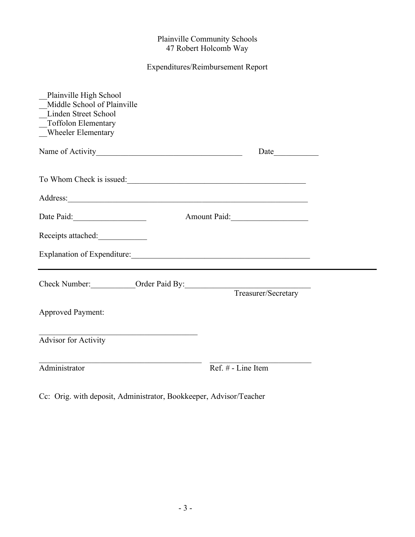## Expenditures/Reimbursement Report

| Plainville High School<br>Middle School of Plainville<br>Linden Street School<br>_Toffolon Elementary<br>_Wheeler Elementary |                    |  |
|------------------------------------------------------------------------------------------------------------------------------|--------------------|--|
|                                                                                                                              |                    |  |
| To Whom Check is issued:                                                                                                     |                    |  |
|                                                                                                                              |                    |  |
| Date Paid:<br>Amount Paid:                                                                                                   |                    |  |
| Receipts attached:                                                                                                           |                    |  |
|                                                                                                                              |                    |  |
|                                                                                                                              |                    |  |
| <b>Approved Payment:</b>                                                                                                     |                    |  |
| <u> 1989 - Johann Barbara, martxa alemaniar a</u><br><b>Advisor for Activity</b>                                             |                    |  |
| Administrator                                                                                                                | Ref. # - Line Item |  |

Cc: Orig. with deposit, Administrator, Bookkeeper, Advisor/Teacher